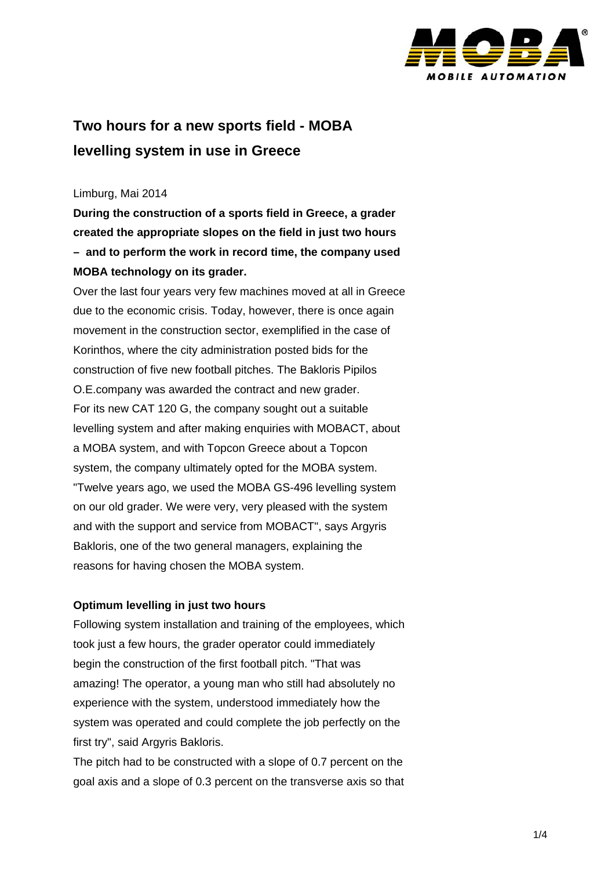

# **Two hours for a new sports field - MOBA levelling system in use in Greece**

#### Limburg, Mai 2014

**During the construction of a sports field in Greece, a grader created the appropriate slopes on the field in just two hours – and to perform the work in record time, the company used MOBA technology on its grader.** 

Over the last four years very few machines moved at all in Greece due to the economic crisis. Today, however, there is once again movement in the construction sector, exemplified in the case of Korinthos, where the city administration posted bids for the construction of five new football pitches. The Bakloris Pipilos O.E.company was awarded the contract and new grader. For its new CAT 120 G, the company sought out a suitable levelling system and after making enquiries with MOBACT, about a MOBA system, and with Topcon Greece about a Topcon system, the company ultimately opted for the MOBA system. "Twelve years ago, we used the MOBA GS-496 levelling system on our old grader. We were very, very pleased with the system and with the support and service from MOBACT", says Argyris Bakloris, one of the two general managers, explaining the reasons for having chosen the MOBA system.

### **Optimum levelling in just two hours**

Following system installation and training of the employees, which took just a few hours, the grader operator could immediately begin the construction of the first football pitch. "That was amazing! The operator, a young man who still had absolutely no experience with the system, understood immediately how the system was operated and could complete the job perfectly on the first try", said Argyris Bakloris.

The pitch had to be constructed with a slope of 0.7 percent on the goal axis and a slope of 0.3 percent on the transverse axis so that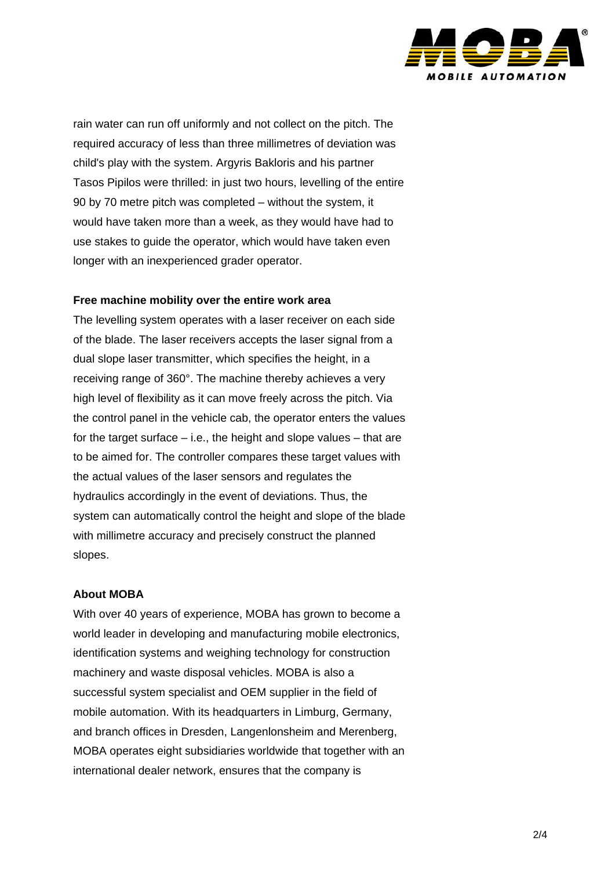

rain water can run off uniformly and not collect on the pitch. The required accuracy of less than three millimetres of deviation was child's play with the system. Argyris Bakloris and his partner Tasos Pipilos were thrilled: in just two hours, levelling of the entire 90 by 70 metre pitch was completed – without the system, it would have taken more than a week, as they would have had to use stakes to guide the operator, which would have taken even longer with an inexperienced grader operator.

#### **Free machine mobility over the entire work area**

The levelling system operates with a laser receiver on each side of the blade. The laser receivers accepts the laser signal from a dual slope laser transmitter, which specifies the height, in a receiving range of 360°. The machine thereby achieves a very high level of flexibility as it can move freely across the pitch. Via the control panel in the vehicle cab, the operator enters the values for the target surface – i.e., the height and slope values – that are to be aimed for. The controller compares these target values with the actual values of the laser sensors and regulates the hydraulics accordingly in the event of deviations. Thus, the system can automatically control the height and slope of the blade with millimetre accuracy and precisely construct the planned slopes.

#### **About MOBA**

With over 40 years of experience, MOBA has grown to become a world leader in developing and manufacturing mobile electronics, identification systems and weighing technology for construction machinery and waste disposal vehicles. MOBA is also a successful system specialist and OEM supplier in the field of mobile automation. With its headquarters in Limburg, Germany, and branch offices in Dresden, Langenlonsheim and Merenberg, MOBA operates eight subsidiaries worldwide that together with an international dealer network, ensures that the company is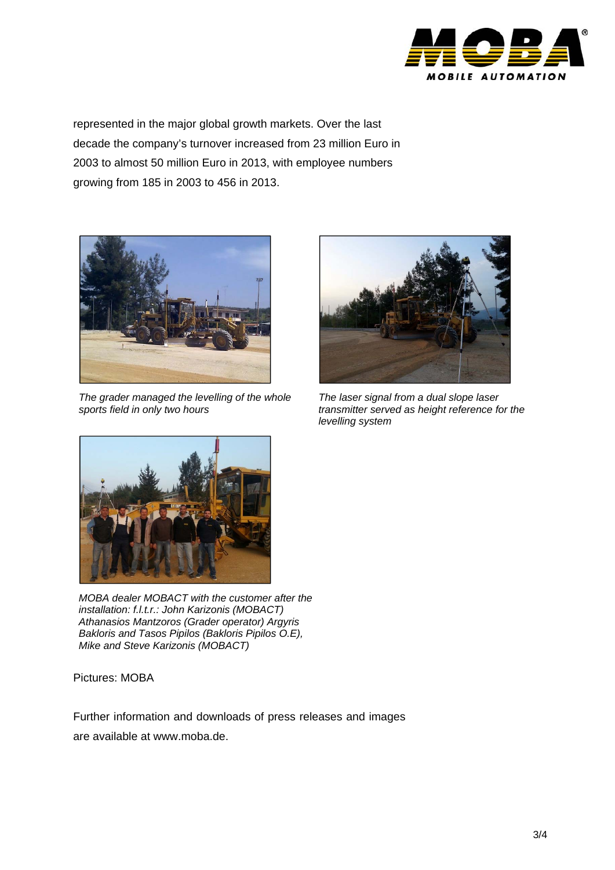

represented in the major global growth markets. Over the last decade the company's turnover increased from 23 million Euro in 2003 to almost 50 million Euro in 2013, with employee numbers growing from 185 in 2003 to 456 in 2013.



*The grader managed the levelling of the whole sports field in only two hours* 



*The laser signal from a dual slope laser transmitter served as height reference for the levelling system* 



*MOBA dealer MOBACT with the customer after the installation: f.l.t.r.: John Karizonis (MOBACT) Athanasios Mantzoros (Grader operator) Argyris Bakloris and Tasos Pipilos (Bakloris Pipilos O.E), Mike and Steve Karizonis (MOBACT)*

Pictures: MOBA

Further information and downloads of press releases and images are available at www.moba.de.